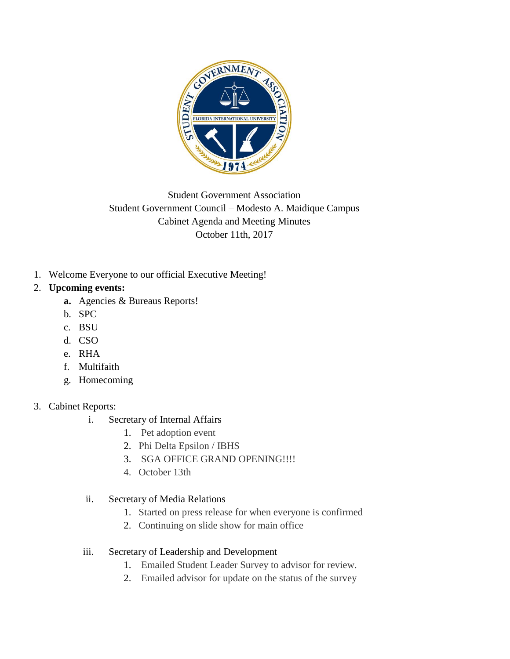

# Student Government Association Student Government Council – Modesto A. Maidique Campus Cabinet Agenda and Meeting Minutes October 11th, 2017

1. Welcome Everyone to our official Executive Meeting!

## 2. **Upcoming events:**

- **a.** Agencies & Bureaus Reports!
- b. SPC
- c. BSU
- d. CSO
- e. RHA
- f. Multifaith
- g. Homecoming

# 3. Cabinet Reports:

- i. Secretary of Internal Affairs
	- 1. Pet adoption event
	- 2. Phi Delta Epsilon / IBHS
	- 3. SGA OFFICE GRAND OPENING!!!!
	- 4. October 13th

## ii. Secretary of Media Relations

- 1. Started on press release for when everyone is confirmed
- 2. Continuing on slide show for main office
- iii. Secretary of Leadership and Development
	- 1. Emailed Student Leader Survey to advisor for review.
	- 2. Emailed advisor for update on the status of the survey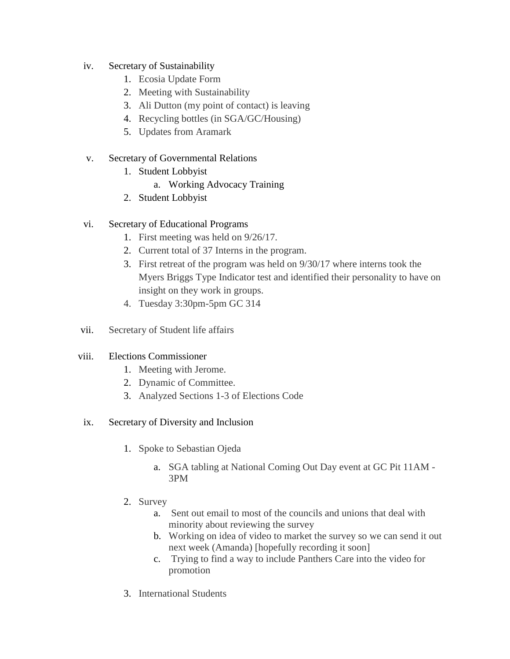- iv. Secretary of Sustainability
	- 1. Ecosia Update Form
	- 2. Meeting with Sustainability
	- 3. Ali Dutton (my point of contact) is leaving
	- 4. Recycling bottles (in SGA/GC/Housing)
	- 5. Updates from Aramark
- v. Secretary of Governmental Relations
	- 1. Student Lobbyist
		- a. Working Advocacy Training
	- 2. Student Lobbyist
- vi. Secretary of Educational Programs
	- 1. First meeting was held on 9/26/17.
	- 2. Current total of 37 Interns in the program.
	- 3. First retreat of the program was held on 9/30/17 where interns took the Myers Briggs Type Indicator test and identified their personality to have on insight on they work in groups.
	- 4. Tuesday 3:30pm-5pm GC 314
- vii. Secretary of Student life affairs

#### viii. Elections Commissioner

- 1. Meeting with Jerome.
- 2. Dynamic of Committee.
- 3. Analyzed Sections 1-3 of Elections Code

#### ix. Secretary of Diversity and Inclusion

- 1. Spoke to Sebastian Ojeda
	- a. SGA tabling at National Coming Out Day event at GC Pit 11AM 3PM
- 2. Survey
	- a. Sent out email to most of the councils and unions that deal with minority about reviewing the survey
	- b. Working on idea of video to market the survey so we can send it out next week (Amanda) [hopefully recording it soon]
	- c. Trying to find a way to include Panthers Care into the video for promotion
- 3. International Students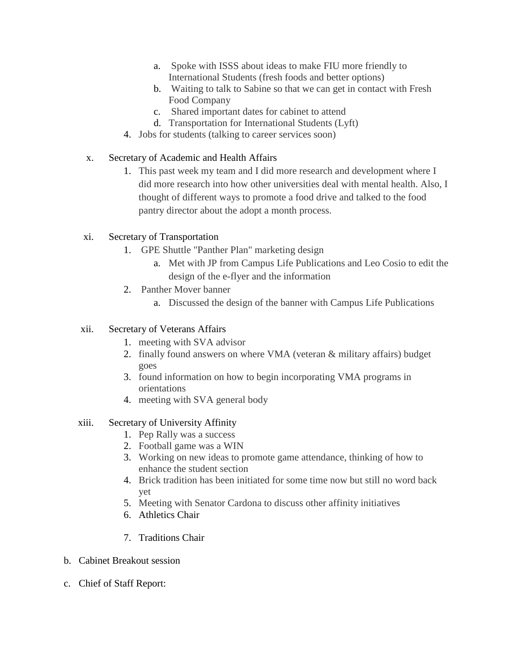- a. Spoke with ISSS about ideas to make FIU more friendly to International Students (fresh foods and better options)
- b. Waiting to talk to Sabine so that we can get in contact with Fresh Food Company
- c. Shared important dates for cabinet to attend
- d. Transportation for International Students (Lyft)
- 4. Jobs for students (talking to career services soon)
- x. Secretary of Academic and Health Affairs
	- 1. This past week my team and I did more research and development where I did more research into how other universities deal with mental health. Also, I thought of different ways to promote a food drive and talked to the food pantry director about the adopt a month process.

#### xi. Secretary of Transportation

- 1. GPE Shuttle "Panther Plan" marketing design
	- a. Met with JP from Campus Life Publications and Leo Cosio to edit the design of the e-flyer and the information
- 2. Panther Mover banner
	- a. Discussed the design of the banner with Campus Life Publications

#### xii. Secretary of Veterans Affairs

- 1. meeting with SVA advisor
- 2. finally found answers on where VMA (veteran & military affairs) budget goes
- 3. found information on how to begin incorporating VMA programs in orientations
- 4. meeting with SVA general body

#### xiii. Secretary of University Affinity

- 1. Pep Rally was a success
- 2. Football game was a WIN
- 3. Working on new ideas to promote game attendance, thinking of how to enhance the student section
- 4. Brick tradition has been initiated for some time now but still no word back yet
- 5. Meeting with Senator Cardona to discuss other affinity initiatives
- 6. Athletics Chair
- 7. Traditions Chair
- b. Cabinet Breakout session
- c. Chief of Staff Report: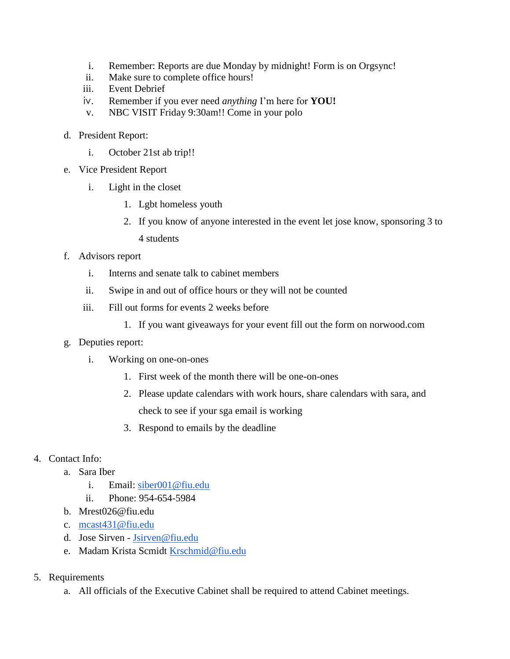- i. Remember: Reports are due Monday by midnight! Form is on Orgsync!
- ii. Make sure to complete office hours!
- iii. Event Debrief
- iv. Remember if you ever need *anything* I'm here for **YOU!**
- v. NBC VISIT Friday 9:30am!! Come in your polo
- d. President Report:
	- i. October 21st ab trip!!
- e. Vice President Report
	- i. Light in the closet
		- 1. Lgbt homeless youth
		- 2. If you know of anyone interested in the event let jose know, sponsoring 3 to 4 students
- f. Advisors report
	- i. Interns and senate talk to cabinet members
	- ii. Swipe in and out of office hours or they will not be counted
	- iii. Fill out forms for events 2 weeks before
		- 1. If you want giveaways for your event fill out the form on norwood.com
- g. Deputies report:
	- i. Working on one-on-ones
		- 1. First week of the month there will be one-on-ones
		- 2. Please update calendars with work hours, share calendars with sara, and check to see if your sga email is working
		- 3. Respond to emails by the deadline
- 4. Contact Info:
	- a. Sara Iber
		- i. Email: [siber001@fiu.edu](mailto:siber001@fiu.edu)
		- ii. Phone: 954-654-5984
	- b. Mrest026@fiu.edu
	- c. [mcast431@fiu.edu](mailto:mcast431@fiu.edu)
	- d. Jose Sirven [Jsirven@fiu.edu](mailto:Jsirven@fiu.edu)
	- e. Madam Krista Scmidt [Krschmid@fiu.edu](mailto:Krschmid@fiu.edu)
- 5. Requirements
	- a. All officials of the Executive Cabinet shall be required to attend Cabinet meetings.